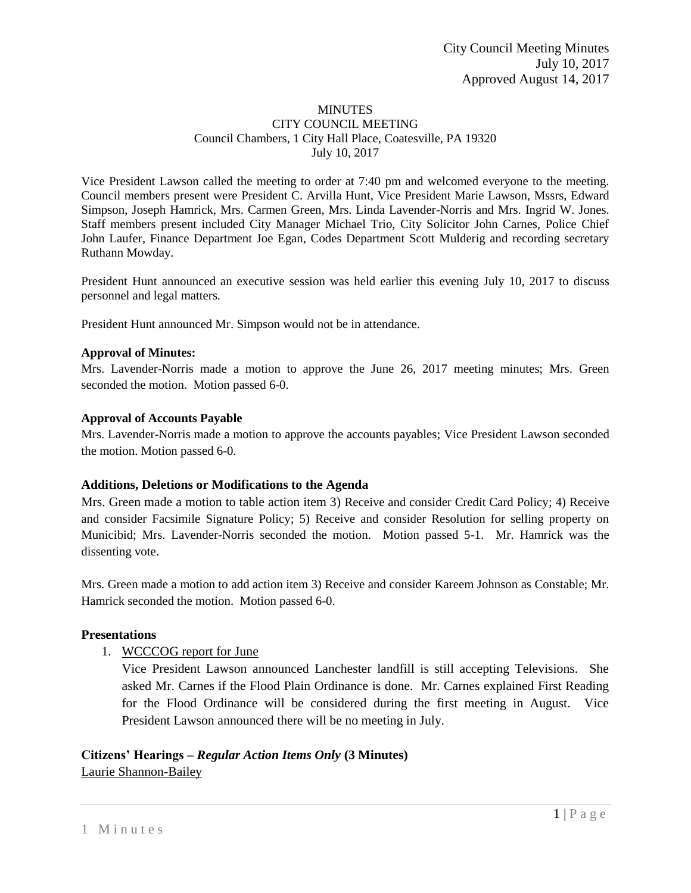#### **MINUTES** CITY COUNCIL MEETING Council Chambers, 1 City Hall Place, Coatesville, PA 19320 July 10, 2017

Vice President Lawson called the meeting to order at 7:40 pm and welcomed everyone to the meeting. Council members present were President C. Arvilla Hunt, Vice President Marie Lawson, Mssrs, Edward Simpson, Joseph Hamrick, Mrs. Carmen Green, Mrs. Linda Lavender-Norris and Mrs. Ingrid W. Jones. Staff members present included City Manager Michael Trio, City Solicitor John Carnes, Police Chief John Laufer, Finance Department Joe Egan, Codes Department Scott Mulderig and recording secretary Ruthann Mowday.

President Hunt announced an executive session was held earlier this evening July 10, 2017 to discuss personnel and legal matters.

President Hunt announced Mr. Simpson would not be in attendance.

### **Approval of Minutes:**

Mrs. Lavender-Norris made a motion to approve the June 26, 2017 meeting minutes; Mrs. Green seconded the motion. Motion passed 6-0.

### **Approval of Accounts Payable**

Mrs. Lavender-Norris made a motion to approve the accounts payables; Vice President Lawson seconded the motion. Motion passed 6-0.

#### **Additions, Deletions or Modifications to the Agenda**

Mrs. Green made a motion to table action item 3) Receive and consider Credit Card Policy; 4) Receive and consider Facsimile Signature Policy; 5) Receive and consider Resolution for selling property on Municibid; Mrs. Lavender-Norris seconded the motion. Motion passed 5-1. Mr. Hamrick was the dissenting vote.

Mrs. Green made a motion to add action item 3) Receive and consider Kareem Johnson as Constable; Mr. Hamrick seconded the motion. Motion passed 6-0.

#### **Presentations**

1. WCCCOG report for June

Vice President Lawson announced Lanchester landfill is still accepting Televisions. She asked Mr. Carnes if the Flood Plain Ordinance is done. Mr. Carnes explained First Reading for the Flood Ordinance will be considered during the first meeting in August. Vice President Lawson announced there will be no meeting in July.

## **Citizens' Hearings –** *Regular Action Items Only* **(3 Minutes)** Laurie Shannon-Bailey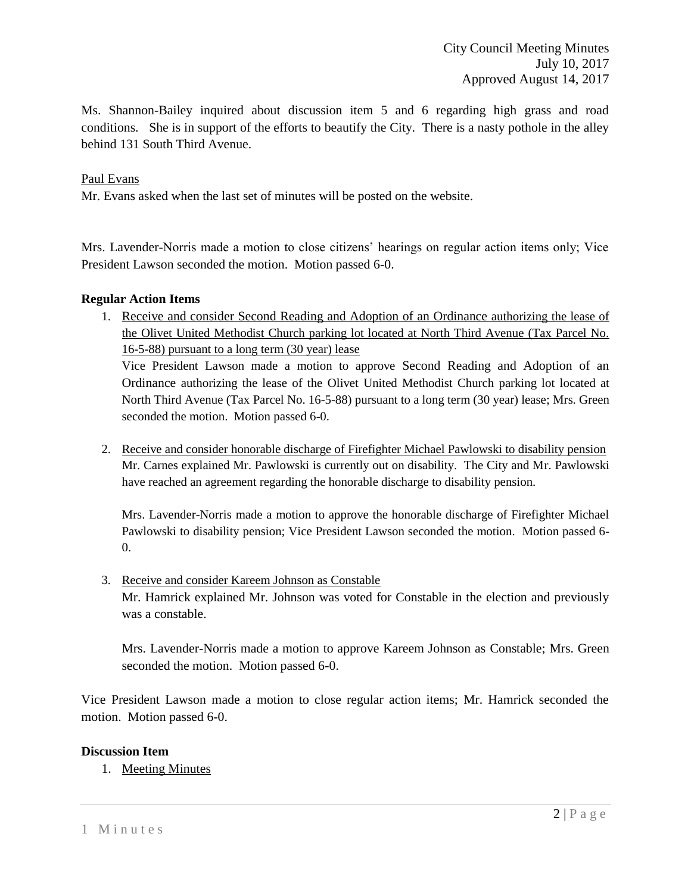Ms. Shannon-Bailey inquired about discussion item 5 and 6 regarding high grass and road conditions. She is in support of the efforts to beautify the City. There is a nasty pothole in the alley behind 131 South Third Avenue.

## Paul Evans

Mr. Evans asked when the last set of minutes will be posted on the website.

Mrs. Lavender-Norris made a motion to close citizens' hearings on regular action items only; Vice President Lawson seconded the motion. Motion passed 6-0.

## **Regular Action Items**

1. Receive and consider Second Reading and Adoption of an Ordinance authorizing the lease of the Olivet United Methodist Church parking lot located at North Third Avenue (Tax Parcel No. 16-5-88) pursuant to a long term (30 year) lease

Vice President Lawson made a motion to approve Second Reading and Adoption of an Ordinance authorizing the lease of the Olivet United Methodist Church parking lot located at North Third Avenue (Tax Parcel No. 16-5-88) pursuant to a long term (30 year) lease; Mrs. Green seconded the motion. Motion passed 6-0.

2. Receive and consider honorable discharge of Firefighter Michael Pawlowski to disability pension Mr. Carnes explained Mr. Pawlowski is currently out on disability. The City and Mr. Pawlowski have reached an agreement regarding the honorable discharge to disability pension.

Mrs. Lavender-Norris made a motion to approve the honorable discharge of Firefighter Michael Pawlowski to disability pension; Vice President Lawson seconded the motion. Motion passed 6- 0.

3. Receive and consider Kareem Johnson as Constable Mr. Hamrick explained Mr. Johnson was voted for Constable in the election and previously was a constable.

Mrs. Lavender-Norris made a motion to approve Kareem Johnson as Constable; Mrs. Green seconded the motion. Motion passed 6-0.

Vice President Lawson made a motion to close regular action items; Mr. Hamrick seconded the motion. Motion passed 6-0.

## **Discussion Item**

1. Meeting Minutes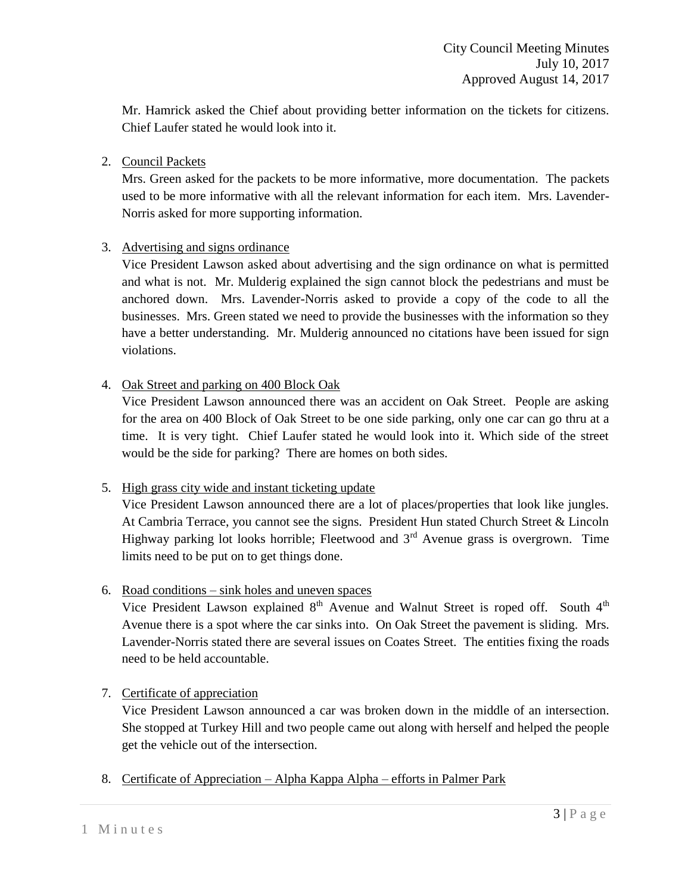Mr. Hamrick asked the Chief about providing better information on the tickets for citizens. Chief Laufer stated he would look into it.

# 2. Council Packets

Mrs. Green asked for the packets to be more informative, more documentation. The packets used to be more informative with all the relevant information for each item. Mrs. Lavender-Norris asked for more supporting information.

# 3. Advertising and signs ordinance

Vice President Lawson asked about advertising and the sign ordinance on what is permitted and what is not. Mr. Mulderig explained the sign cannot block the pedestrians and must be anchored down. Mrs. Lavender-Norris asked to provide a copy of the code to all the businesses. Mrs. Green stated we need to provide the businesses with the information so they have a better understanding. Mr. Mulderig announced no citations have been issued for sign violations.

# 4. Oak Street and parking on 400 Block Oak

Vice President Lawson announced there was an accident on Oak Street. People are asking for the area on 400 Block of Oak Street to be one side parking, only one car can go thru at a time. It is very tight. Chief Laufer stated he would look into it. Which side of the street would be the side for parking? There are homes on both sides.

# 5. High grass city wide and instant ticketing update

Vice President Lawson announced there are a lot of places/properties that look like jungles. At Cambria Terrace, you cannot see the signs. President Hun stated Church Street & Lincoln Highway parking lot looks horrible; Fleetwood and  $3<sup>rd</sup>$  Avenue grass is overgrown. Time limits need to be put on to get things done.

## 6. Road conditions – sink holes and uneven spaces

Vice President Lawson explained  $8<sup>th</sup>$  Avenue and Walnut Street is roped off. South  $4<sup>th</sup>$ Avenue there is a spot where the car sinks into. On Oak Street the pavement is sliding. Mrs. Lavender-Norris stated there are several issues on Coates Street. The entities fixing the roads need to be held accountable.

## 7. Certificate of appreciation

Vice President Lawson announced a car was broken down in the middle of an intersection. She stopped at Turkey Hill and two people came out along with herself and helped the people get the vehicle out of the intersection.

8. Certificate of Appreciation – Alpha Kappa Alpha – efforts in Palmer Park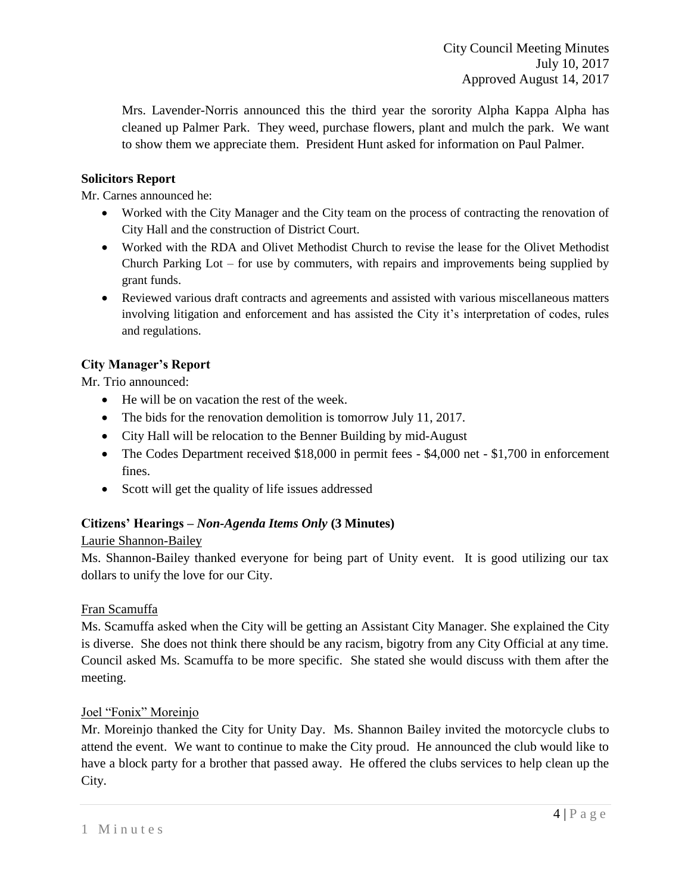Mrs. Lavender-Norris announced this the third year the sorority Alpha Kappa Alpha has cleaned up Palmer Park. They weed, purchase flowers, plant and mulch the park. We want to show them we appreciate them. President Hunt asked for information on Paul Palmer.

# **Solicitors Report**

Mr. Carnes announced he:

- Worked with the City Manager and the City team on the process of contracting the renovation of City Hall and the construction of District Court.
- Worked with the RDA and Olivet Methodist Church to revise the lease for the Olivet Methodist Church Parking Lot – for use by commuters, with repairs and improvements being supplied by grant funds.
- Reviewed various draft contracts and agreements and assisted with various miscellaneous matters involving litigation and enforcement and has assisted the City it's interpretation of codes, rules and regulations.

# **City Manager's Report**

Mr. Trio announced:

- He will be on vacation the rest of the week.
- The bids for the renovation demolition is tomorrow July 11, 2017.
- City Hall will be relocation to the Benner Building by mid-August
- The Codes Department received \$18,000 in permit fees \$4,000 net \$1,700 in enforcement fines.
- Scott will get the quality of life issues addressed

## **Citizens' Hearings –** *Non-Agenda Items Only* **(3 Minutes)**

## Laurie Shannon-Bailey

Ms. Shannon-Bailey thanked everyone for being part of Unity event. It is good utilizing our tax dollars to unify the love for our City.

## Fran Scamuffa

Ms. Scamuffa asked when the City will be getting an Assistant City Manager. She explained the City is diverse. She does not think there should be any racism, bigotry from any City Official at any time. Council asked Ms. Scamuffa to be more specific. She stated she would discuss with them after the meeting.

## Joel "Fonix" Moreinjo

Mr. Moreinjo thanked the City for Unity Day. Ms. Shannon Bailey invited the motorcycle clubs to attend the event. We want to continue to make the City proud. He announced the club would like to have a block party for a brother that passed away. He offered the clubs services to help clean up the City.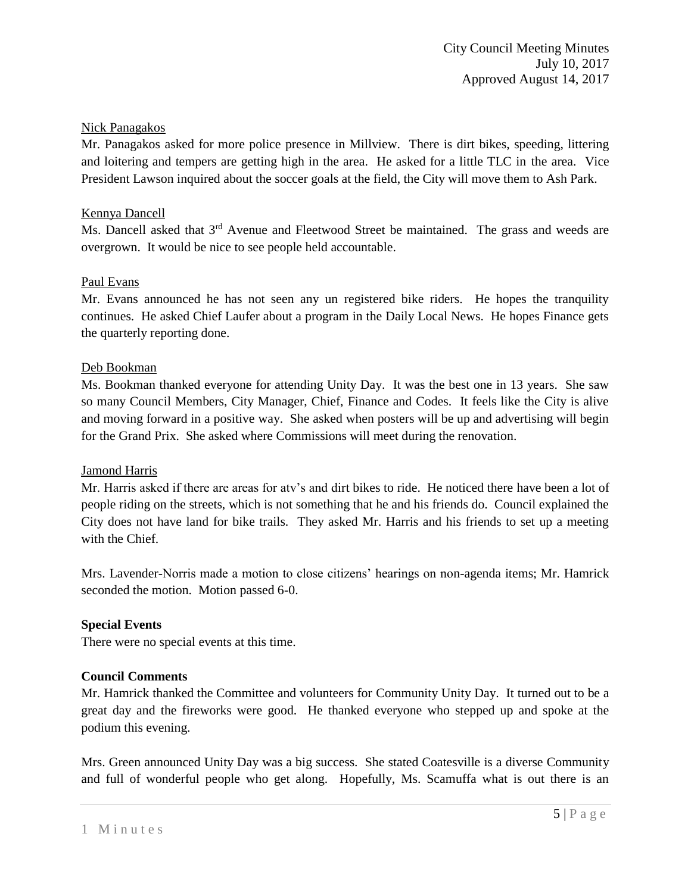# Nick Panagakos

Mr. Panagakos asked for more police presence in Millview. There is dirt bikes, speeding, littering and loitering and tempers are getting high in the area. He asked for a little TLC in the area. Vice President Lawson inquired about the soccer goals at the field, the City will move them to Ash Park.

## Kennya Dancell

Ms. Dancell asked that  $3<sup>rd</sup>$  Avenue and Fleetwood Street be maintained. The grass and weeds are overgrown. It would be nice to see people held accountable.

# Paul Evans

Mr. Evans announced he has not seen any un registered bike riders. He hopes the tranquility continues. He asked Chief Laufer about a program in the Daily Local News. He hopes Finance gets the quarterly reporting done.

## Deb Bookman

Ms. Bookman thanked everyone for attending Unity Day. It was the best one in 13 years. She saw so many Council Members, City Manager, Chief, Finance and Codes. It feels like the City is alive and moving forward in a positive way. She asked when posters will be up and advertising will begin for the Grand Prix. She asked where Commissions will meet during the renovation.

## Jamond Harris

Mr. Harris asked if there are areas for atv's and dirt bikes to ride. He noticed there have been a lot of people riding on the streets, which is not something that he and his friends do. Council explained the City does not have land for bike trails. They asked Mr. Harris and his friends to set up a meeting with the Chief.

Mrs. Lavender-Norris made a motion to close citizens' hearings on non-agenda items; Mr. Hamrick seconded the motion. Motion passed 6-0.

## **Special Events**

There were no special events at this time.

## **Council Comments**

Mr. Hamrick thanked the Committee and volunteers for Community Unity Day. It turned out to be a great day and the fireworks were good. He thanked everyone who stepped up and spoke at the podium this evening.

Mrs. Green announced Unity Day was a big success. She stated Coatesville is a diverse Community and full of wonderful people who get along. Hopefully, Ms. Scamuffa what is out there is an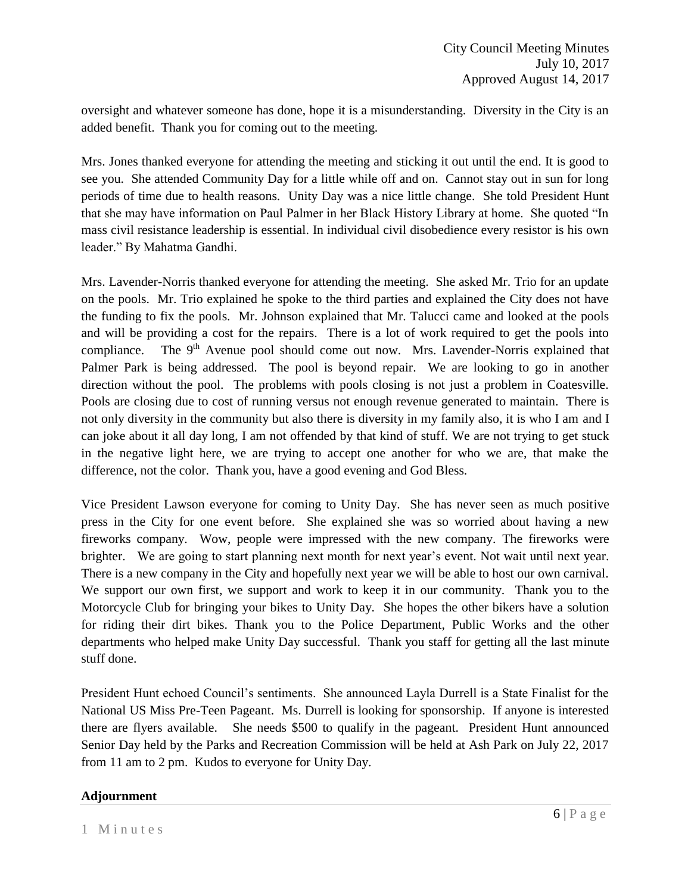oversight and whatever someone has done, hope it is a misunderstanding. Diversity in the City is an added benefit. Thank you for coming out to the meeting.

Mrs. Jones thanked everyone for attending the meeting and sticking it out until the end. It is good to see you. She attended Community Day for a little while off and on. Cannot stay out in sun for long periods of time due to health reasons. Unity Day was a nice little change. She told President Hunt that she may have information on Paul Palmer in her Black History Library at home. She quoted "In mass civil resistance leadership is essential. In individual civil disobedience every resistor is his own leader." By Mahatma Gandhi.

Mrs. Lavender-Norris thanked everyone for attending the meeting. She asked Mr. Trio for an update on the pools. Mr. Trio explained he spoke to the third parties and explained the City does not have the funding to fix the pools. Mr. Johnson explained that Mr. Talucci came and looked at the pools and will be providing a cost for the repairs. There is a lot of work required to get the pools into compliance. The  $9<sup>th</sup>$  Avenue pool should come out now. Mrs. Lavender-Norris explained that Palmer Park is being addressed. The pool is beyond repair. We are looking to go in another direction without the pool. The problems with pools closing is not just a problem in Coatesville. Pools are closing due to cost of running versus not enough revenue generated to maintain. There is not only diversity in the community but also there is diversity in my family also, it is who I am and I can joke about it all day long, I am not offended by that kind of stuff. We are not trying to get stuck in the negative light here, we are trying to accept one another for who we are, that make the difference, not the color. Thank you, have a good evening and God Bless.

Vice President Lawson everyone for coming to Unity Day. She has never seen as much positive press in the City for one event before. She explained she was so worried about having a new fireworks company. Wow, people were impressed with the new company. The fireworks were brighter. We are going to start planning next month for next year's event. Not wait until next year. There is a new company in the City and hopefully next year we will be able to host our own carnival. We support our own first, we support and work to keep it in our community. Thank you to the Motorcycle Club for bringing your bikes to Unity Day. She hopes the other bikers have a solution for riding their dirt bikes. Thank you to the Police Department, Public Works and the other departments who helped make Unity Day successful. Thank you staff for getting all the last minute stuff done.

President Hunt echoed Council's sentiments. She announced Layla Durrell is a State Finalist for the National US Miss Pre-Teen Pageant. Ms. Durrell is looking for sponsorship. If anyone is interested there are flyers available. She needs \$500 to qualify in the pageant. President Hunt announced Senior Day held by the Parks and Recreation Commission will be held at Ash Park on July 22, 2017 from 11 am to 2 pm. Kudos to everyone for Unity Day.

## **Adjournment**